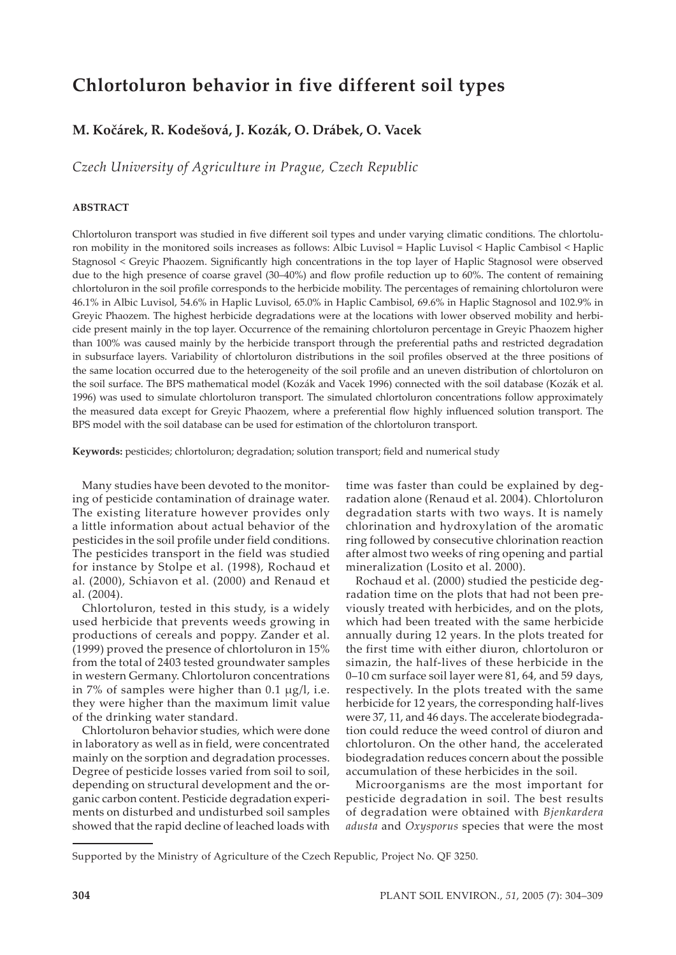# **Chlortoluron behavior in five different soil types**

# **M. Kočárek, R. Kodešová, J. Kozák, O. Drábek, O. Vacek**

*Czech University of Agriculture in Prague, Czech Republic*

# **ABSTRACT**

Chlortoluron transport was studied in five different soil types and under varying climatic conditions. The chlortoluron mobility in the monitored soils increases as follows: Albic Luvisol = Haplic Luvisol < Haplic Cambisol < Haplic Stagnosol < Greyic Phaozem. Significantly high concentrations in the top layer of Haplic Stagnosol were observed due to the high presence of coarse gravel (30–40%) and flow profile reduction up to 60%. The content of remaining chlortoluron in the soil profile corresponds to the herbicide mobility. The percentages of remaining chlortoluron were 46.1% in Albic Luvisol, 54.6% in Haplic Luvisol, 65.0% in Haplic Cambisol, 69.6% in Haplic Stagnosol and 102.9% in Greyic Phaozem. The highest herbicide degradations were at the locations with lower observed mobility and herbicide present mainly in the top layer. Occurrence of the remaining chlortoluron percentage in Greyic Phaozem higher than 100% was caused mainly by the herbicide transport through the preferential paths and restricted degradation in subsurface layers. Variability of chlortoluron distributions in the soil profiles observed at the three positions of the same location occurred due to the heterogeneity of the soil profile and an uneven distribution of chlortoluron on the soil surface. The BPS mathematical model (Kozák and Vacek 1996) connected with the soil database (Kozák et al. 1996) was used to simulate chlortoluron transport. The simulated chlortoluron concentrations follow approximately the measured data except for Greyic Phaozem, where a preferential flow highly influenced solution transport. The BPS model with the soil database can be used for estimation of the chlortoluron transport.

**Keywords:** pesticides; chlortoluron; degradation; solution transport; field and numerical study

Many studies have been devoted to the monitoring of pesticide contamination of drainage water. The existing literature however provides only a little information about actual behavior of the pesticides in the soil profile under field conditions. The pesticides transport in the field was studied for instance by Stolpe et al. (1998), Rochaud et al. (2000), Schiavon et al. (2000) and Renaud et al. (2004).

Chlortoluron, tested in this study, is a widely used herbicide that prevents weeds growing in productions of cereals and poppy. Zander et al. (1999) proved the presence of chlortoluron in 15% from the total of 2403 tested groundwater samples in western Germany. Chlortoluron concentrations in 7% of samples were higher than 0.1 µg/l, i.e. they were higher than the maximum limit value of the drinking water standard.

Chlortoluron behavior studies, which were done in laboratory as well as in field, were concentrated mainly on the sorption and degradation processes. Degree of pesticide losses varied from soil to soil, depending on structural development and the organic carbon content. Pesticide degradation experiments on disturbed and undisturbed soil samples showed that the rapid decline of leached loads with time was faster than could be explained by degradation alone (Renaud et al. 2004). Chlortoluron degradation starts with two ways. It is namely chlorination and hydroxylation of the aromatic ring followed by consecutive chlorination reaction after almost two weeks of ring opening and partial mineralization (Losito et al. 2000).

Rochaud et al. (2000) studied the pesticide degradation time on the plots that had not been previously treated with herbicides, and on the plots, which had been treated with the same herbicide annually during 12 years. In the plots treated for the first time with either diuron, chlortoluron or simazin, the half-lives of these herbicide in the 0–10 cm surface soil layer were 81, 64, and 59 days, respectively. In the plots treated with the same herbicide for 12 years, the corresponding half-lives were 37, 11, and 46 days. The accelerate biodegradation could reduce the weed control of diuron and chlortoluron. On the other hand, the accelerated biodegradation reduces concern about the possible accumulation of these herbicides in the soil.

Microorganisms are the most important for pesticide degradation in soil. The best results of degradation were obtained with *Bjenkardera adusta* and *Oxysporus* species that were the most

Supported by the Ministry of Agriculture of the Czech Republic, Project No. QF 3250.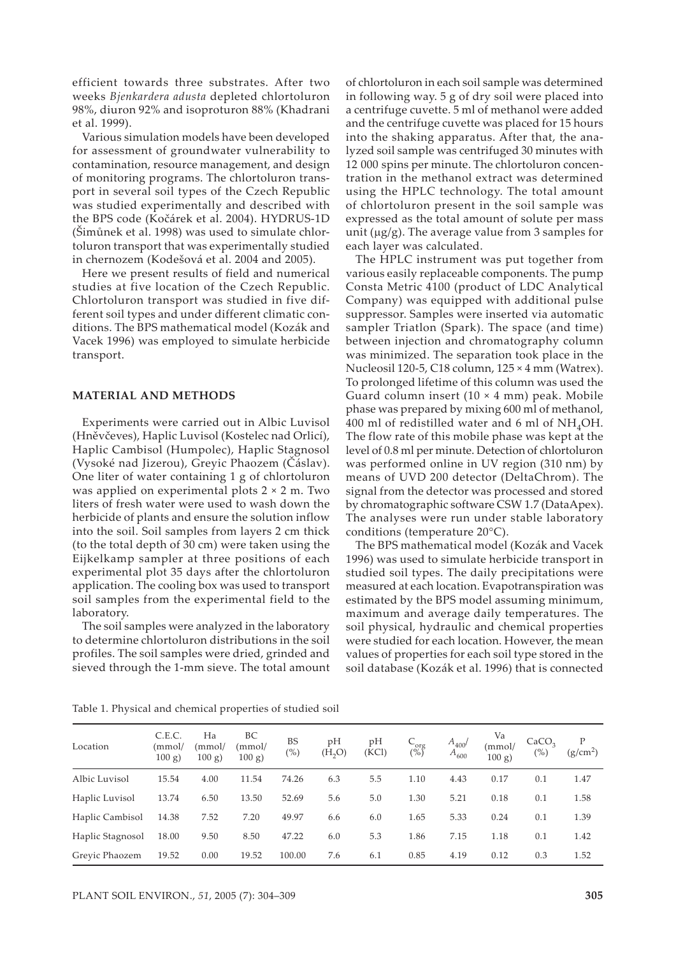efficient towards three substrates. After two weeks *Bjenkardera adusta* depleted chlortoluron 98%, diuron 92% and isoproturon 88% (Khadrani et al. 1999).

Various simulation models have been developed for assessment of groundwater vulnerability to contamination, resource management, and design of monitoring programs. The chlortoluron transport in several soil types of the Czech Republic was studied experimentally and described with the BPS code (Kočárek et al. 2004). HYDRUS-1D (Šimůnek et al. 1998) was used to simulate chlortoluron transport that was experimentally studied in chernozem (Kodešová et al. 2004 and 2005).

Here we present results of field and numerical studies at five location of the Czech Republic. Chlortoluron transport was studied in five different soil types and under different climatic conditions. The BPS mathematical model (Kozák and Vacek 1996) was employed to simulate herbicide transport.

### **MATERIAL AND METHODS**

Experiments were carried out in Albic Luvisol (Hněvčeves), Haplic Luvisol (Kostelec nad Orlicí), Haplic Cambisol (Humpolec), Haplic Stagnosol (Vysoké nad Jizerou), Greyic Phaozem (Čáslav). One liter of water containing 1 g of chlortoluron was applied on experimental plots 2 × 2 m. Two liters of fresh water were used to wash down the herbicide of plants and ensure the solution inflow into the soil. Soil samples from layers 2 cm thick (to the total depth of 30 cm) were taken using the Eijkelkamp sampler at three positions of each experimental plot 35 days after the chlortoluron application. The cooling box was used to transport soil samples from the experimental field to the laboratory.

The soil samples were analyzed in the laboratory to determine chlortoluron distributions in the soil profiles. The soil samples were dried, grinded and sieved through the 1-mm sieve. The total amount

of chlortoluron in each soil sample was determined in following way. 5 g of dry soil were placed into a centrifuge cuvette. 5 ml of methanol were added and the centrifuge cuvette was placed for 15 hours into the shaking apparatus. After that, the analyzed soil sample was centrifuged 30 minutes with 12 000 spins per minute. The chlortoluron concentration in the methanol extract was determined using the HPLC technology. The total amount of chlortoluron present in the soil sample was expressed as the total amount of solute per mass unit ( $\mu$ g/g). The average value from 3 samples for each layer was calculated.

The HPLC instrument was put together from various easily replaceable components. The pump Consta Metric 4100 (product of LDC Analytical Company) was equipped with additional pulse suppressor. Samples were inserted via automatic sampler Triatlon (Spark). The space (and time) between injection and chromatography column was minimized. The separation took place in the Nucleosil 120-5, C18 column, 125 × 4 mm (Watrex). To prolonged lifetime of this column was used the Guard column insert  $(10 \times 4 \text{ mm})$  peak. Mobile phase was prepared by mixing 600 ml of methanol, 400 ml of redistilled water and 6 ml of  $NH<sub>4</sub>OH$ . The flow rate of this mobile phase was kept at the level of 0.8 ml per minute. Detection of chlortoluron was performed online in UV region (310 nm) by means of UVD 200 detector (DeltaChrom). The signal from the detector was processed and stored by chromatographic software CSW 1.7 (DataApex). The analyses were run under stable laboratory conditions (temperature 20°C).

The BPS mathematical model (Kozák and Vacek 1996) was used to simulate herbicide transport in studied soil types. The daily precipitations were measured at each location. Evapotranspiration was estimated by the BPS model assuming minimum, maximum and average daily temperatures. The soil physical, hydraulic and chemical properties were studied for each location. However, the mean values of properties for each soil type stored in the soil database (Kozák et al. 1996) that is connected

| Location         | C.E.C.<br>(mmol/<br>$100 g$ ) | Ha<br>(mmol/<br>100 g | BC<br>(mmol/<br>$100 g$ ) | <b>BS</b><br>$(\%)$ | pH<br>(H, O) | pH<br>(KCl) | $C_{\text{org}}$ <sub>(%)</sub> | $A_{400}$<br>$A_{600}$ | Va<br>(mmol/<br>100 g | CaCO <sub>2</sub><br>$(\%)$ | P<br>(g/cm <sup>2</sup> ) |
|------------------|-------------------------------|-----------------------|---------------------------|---------------------|--------------|-------------|---------------------------------|------------------------|-----------------------|-----------------------------|---------------------------|
| Albic Luvisol    | 15.54                         | 4.00                  | 11.54                     | 74.26               | 6.3          | 5.5         | 1.10                            | 4.43                   | 0.17                  | 0.1                         | 1.47                      |
| Haplic Luvisol   | 13.74                         | 6.50                  | 13.50                     | 52.69               | 5.6          | 5.0         | 1.30                            | 5.21                   | 0.18                  | 0.1                         | 1.58                      |
| Haplic Cambisol  | 14.38                         | 7.52                  | 7.20                      | 49.97               | 6.6          | 6.0         | 1.65                            | 5.33                   | 0.24                  | 0.1                         | 1.39                      |
| Haplic Stagnosol | 18.00                         | 9.50                  | 8.50                      | 47.22               | 6.0          | 5.3         | 1.86                            | 7.15                   | 1.18                  | 0.1                         | 1.42                      |
| Grevic Phaozem   | 19.52                         | 0.00                  | 19.52                     | 100.00              | 7.6          | 6.1         | 0.85                            | 4.19                   | 0.12                  | 0.3                         | 1.52                      |

Table 1. Physical and chemical properties of studied soil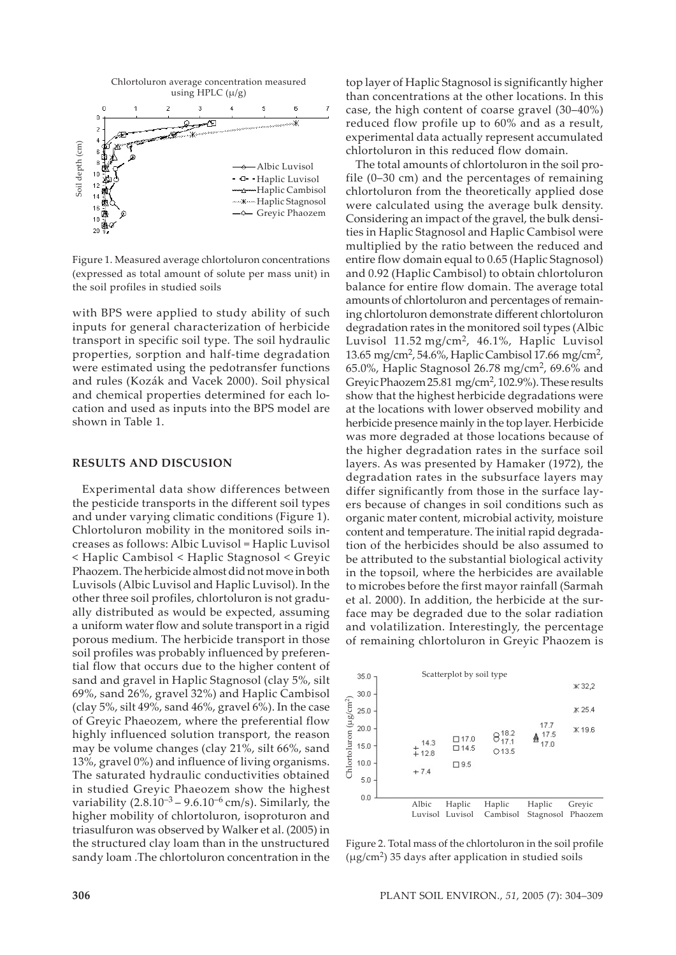

Figure 1. Measured average chlortoluron concentrations (expressed as total amount of solute per mass unit) in the soil profiles in studied soils

with BPS were applied to study ability of such inputs for general characterization of herbicide transport in specific soil type. The soil hydraulic properties, sorption and half-time degradation were estimated using the pedotransfer functions and rules (Kozák and Vacek 2000). Soil physical and chemical properties determined for each location and used as inputs into the BPS model are shown in Table 1.

#### **RESULTS AND DISCUSION**

Experimental data show differences between the pesticide transports in the different soil types and under varying climatic conditions (Figure 1). Chlortoluron mobility in the monitored soils increases as follows: Albic Luvisol = Haplic Luvisol < Haplic Cambisol < Haplic Stagnosol < Greyic Phaozem. The herbicide almost did not move in both Luvisols (Albic Luvisol and Haplic Luvisol). In the other three soil profiles, chlortoluron is not gradually distributed as would be expected, assuming a uniform water flow and solute transport in a rigid porous medium. The herbicide transport in those soil profiles was probably influenced by preferential flow that occurs due to the higher content of sand and gravel in Haplic Stagnosol (clay 5%, silt 69%, sand 26%, gravel 32%) and Haplic Cambisol (clay 5%, silt 49%, sand 46%, gravel 6%). In the case of Greyic Phaeozem, where the preferential flow highly influenced solution transport, the reason may be volume changes (clay 21%, silt 66%, sand 13%, gravel 0%) and influence of living organisms. The saturated hydraulic conductivities obtained in studied Greyic Phaeozem show the highest variability  $(2.8.10^{-3} - 9.6.10^{-6}$  cm/s). Similarly, the higher mobility of chlortoluron, isoproturon and triasulfuron was observed by Walker et al. (2005) in the structured clay loam than in the unstructured sandy loam .The chlortoluron concentration in the

top layer of Haplic Stagnosol is significantly higher than concentrations at the other locations. In this case, the high content of coarse gravel (30–40%) reduced flow profile up to 60% and as a result, experimental data actually represent accumulated chlortoluron in this reduced flow domain.

The total amounts of chlortoluron in the soil profile (0–30 cm) and the percentages of remaining chlortoluron from the theoretically applied dose were calculated using the average bulk density. Considering an impact of the gravel, the bulk densities in Haplic Stagnosol and Haplic Cambisol were multiplied by the ratio between the reduced and entire flow domain equal to 0.65 (Haplic Stagnosol) and 0.92 (Haplic Cambisol) to obtain chlortoluron balance for entire flow domain. The average total amounts of chlortoluron and percentages of remaining chlortoluron demonstrate different chlortoluron degradation rates in the monitored soil types (Albic Luvisol 11.52 mg/cm<sup>2</sup>, 46.1%, Haplic Luvisol 13.65 mg/cm2, 54.6%, Haplic Cambisol 17.66 mg/cm2, 65.0%, Haplic Stagnosol 26.78 mg/cm<sup>2</sup>, 69.6% and Greyic Phaozem 25.81 mg/cm<sup>2</sup>, 102.9%). These results show that the highest herbicide degradations were at the locations with lower observed mobility and herbicide presence mainly in the top layer. Herbicide was more degraded at those locations because of the higher degradation rates in the surface soil layers. As was presented by Hamaker (1972), the degradation rates in the subsurface layers may differ significantly from those in the surface layers because of changes in soil conditions such as organic mater content, microbial activity, moisture content and temperature. The initial rapid degradation of the herbicides should be also assumed to be attributed to the substantial biological activity in the topsoil, where the herbicides are available to microbes before the first mayor rainfall (Sarmah et al. 2000). In addition, the herbicide at the surface may be degraded due to the solar radiation and volatilization. Interestingly, the percentage of remaining chlortoluron in Greyic Phaozem is



Figure 2. Total mass of the chlortoluron in the soil profile  $(\mu$ g/cm<sup>2</sup>) 35 days after application in studied soils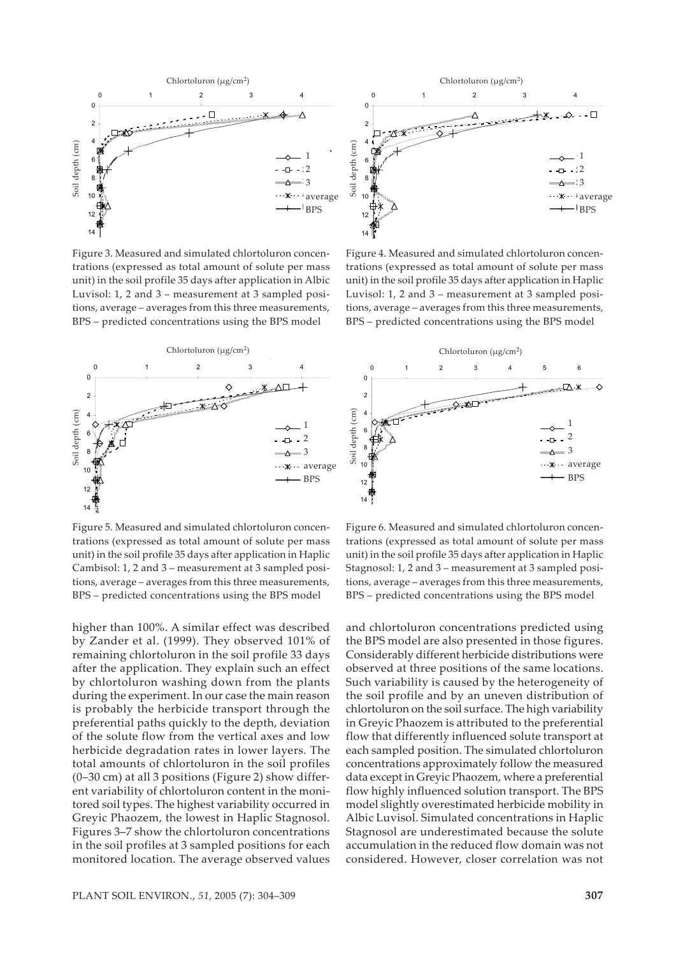

Figure 3. Measured and simulated chlortoluron concentrations (expressed as total amount of solute per mass unit) in the soil profile 35 days after application in Albic Luvisol: 1, 2 and 3 – measurement at 3 sampled positions, average – averages from this three measurements, BPS – predicted concentrations using the BPS model



Soil depth (cm)

Soil depth (cm)

Soil depth (cm)

14

**Chlortoluron** (μg/cm<sup>2</sup>) 0 1 2 3 4 0 \_x\_∆□ 2 Soil depth (cm) Soil depth (cm) 4 **Soil** depth (cm 6  $\overline{a}$ 8  $10$ BPS BPS $12$ 14

Figure 5. Measured and simulated chlortoluron concentrations (expressed as total amount of solute per mass unit) in the soil profile 35 days after application in Haplic Cambisol: 1, 2 and 3 – measurement at 3 sampled positions, average – averages from this three measurements, BPS – predicted concentrations using the BPS model

higher than 100%. A similar effect was described by Zander et al. (1999). They observed 101% of remaining chlortoluron in the soil profile 33 days after the application. They explain such an effect by chlortoluron washing down from the plants during the experiment. In our case the main reason is probably the herbicide transport through the preferential paths quickly to the depth, deviation of the solute flow from the vertical axes and low herbicide degradation rates in lower layers. The total amounts of chlortoluron in the soil profiles (0–30 cm) at all 3 positions (Figure 2) show different variability of chlortoluron content in the monitored soil types. The highest variability occurred in Greyic Phaozem, the lowest in Haplic Stagnosol. Figures 3–7 show the chlortoluron concentrations in the soil profiles at 3 sampled positions for each monitored location. The average observed values

**306** PLANT SOIL ENVIRON., *51*, 2005 (7): 304–309 PLANT SOIL ENVIRON., *51*, 2005 (7): 304–309 **307**

Figure 6. Measured and simulated chlortoluron concentrations (expressed as total amount of solute per mass unit) in the soil profile 35 days after application in Haplic Stagnosol: 1, 2 and 3 – measurement at 3 sampled positions, average – averages from this three measurements, BPS – predicted concentrations using the BPS model

Figure 4. Measured and simulated chlortoluron concentrations (expressed as total amount of solute per mass unit) in the soil profile 35 days after application in Haplic

 $\Delta$ 

0 1 2 3 4 **Chlortoluron (μg/cm<sup>2</sup>)** 

> $\cdot$  1 2 2 3 3 average average BPS BPS

 $\Box$ 

2 2 3 3 average average BPS BPS

1

 $\overline{\phantom{a}}$ 

and chlortoluron concentrations predicted using the BPS model are also presented in those figures. Considerably different herbicide distributions were observed at three positions of the same locations. Such variability is caused by the heterogeneity of the soil profile and by an uneven distribution of chlortoluron on the soil surface. The high variability in Greyic Phaozem is attributed to the preferential flow that differently influenced solute transport at each sampled position. The simulated chlortoluron concentrations approximately follow the measured data except in Greyic Phaozem, where a preferential flow highly influenced solution transport. The BPS model slightly overestimated herbicide mobility in Albic Luvisol. Simulated concentrations in Haplic Stagnosol are underestimated because the solute accumulation in the reduced flow domain was not considered. However, closer correlation was not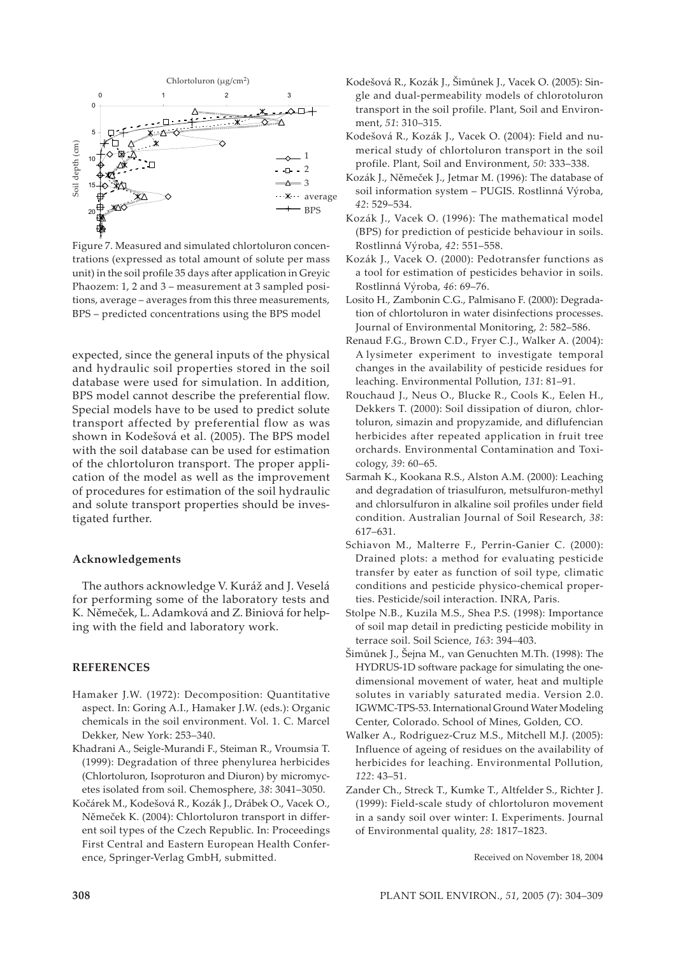

Figure 7. Measured and simulated chlortoluron concentrations (expressed as total amount of solute per mass unit) in the soil profile 35 days after application in Greyic Phaozem: 1, 2 and 3 – measurement at 3 sampled positions, average – averages from this three measurements, BPS – predicted concentrations using the BPS model

expected, since the general inputs of the physical and hydraulic soil properties stored in the soil database were used for simulation. In addition, BPS model cannot describe the preferential flow. Special models have to be used to predict solute transport affected by preferential flow as was shown in Kodešová et al. (2005). The BPS model with the soil database can be used for estimation of the chlortoluron transport. The proper application of the model as well as the improvement of procedures for estimation of the soil hydraulic and solute transport properties should be investigated further.

### **Acknowledgements**

The authors acknowledge V. Kuráž and J. Veselá for performing some of the laboratory tests and K. Němeček, L. Adamková and Z. Biniová for helping with the field and laboratory work.

# **REFERENCES**

- Hamaker J.W. (1972): Decomposition: Quantitative aspect. In: Goring A.I., Hamaker J.W. (eds.): Organic chemicals in the soil environment. Vol. 1. C. Marcel Dekker, New York: 253–340.
- Khadrani A., Seigle-Murandi F., Steiman R., Vroumsia T. (1999): Degradation of three phenylurea herbicides (Chlortoluron, Isoproturon and Diuron) by micromycetes isolated from soil. Chemosphere, *38*: 3041–3050.
- Kočárek M., Kodešová R., Kozák J., Drábek O., Vacek O., Němeček K. (2004): Chlortoluron transport in different soil types of the Czech Republic. In: Proceedings First Central and Eastern European Health Conference, Springer-Verlag GmbH, submitted.
- Kodešová R., Kozák J., Šimůnek J., Vacek O. (2005): Single and dual-permeability models of chlorotoluron transport in the soil profile. Plant, Soil and Environment, *51*: 310–315.
- Kodešová R., Kozák J., Vacek O. (2004): Field and numerical study of chlortoluron transport in the soil profile. Plant, Soil and Environment, *50*: 333–338.
- Kozák J., Němeček J., Jetmar M. (1996): The database of soil information system – PUGIS. Rostlinná Výroba, *42*: 529–534.
- Kozák J., Vacek O. (1996): The mathematical model (BPS) for prediction of pesticide behaviour in soils. Rostlinná Výroba, *42*: 551–558.
- Kozák J., Vacek O. (2000): Pedotransfer functions as a tool for estimation of pesticides behavior in soils. Rostlinná Výroba, *46*: 69–76.
- Losito H., Zambonin C.G., Palmisano F. (2000): Degradation of chlortoluron in water disinfections processes. Journal of Environmental Monitoring, *2*: 582–586.
- Renaud F.G., Brown C.D., Fryer C.J., Walker A. (2004): A lysimeter experiment to investigate temporal changes in the availability of pesticide residues for leaching. Environmental Pollution, *131*: 81–91.
- Rouchaud J., Neus O., Blucke R., Cools K., Eelen H., Dekkers T. (2000): Soil dissipation of diuron, chlortoluron, simazin and propyzamide, and diflufencian herbicides after repeated application in fruit tree orchards. Environmental Contamination and Toxicology, *39*: 60–65.
- Sarmah K., Kookana R.S., Alston A.M. (2000): Leaching and degradation of triasulfuron, metsulfuron-methyl and chlorsulfuron in alkaline soil profiles under field condition. Australian Journal of Soil Research, *38*: 617–631.
- Schiavon M., Malterre F., Perrin-Ganier C. (2000): Drained plots: a method for evaluating pesticide transfer by eater as function of soil type, climatic conditions and pesticide physico-chemical properties. Pesticide/soil interaction. INRA, Paris.
- Stolpe N.B., Kuzila M.S., Shea P.S. (1998): Importance of soil map detail in predicting pesticide mobility in terrace soil. Soil Science, *163*: 394–403.
- Šimůnek J., Šejna M., van Genuchten M.Th. (1998): The HYDRUS-1D software package for simulating the onedimensional movement of water, heat and multiple solutes in variably saturated media. Version 2.0. IGWMC-TPS-53. International Ground Water Modeling Center, Colorado. School of Mines, Golden, CO.
- Walker A., Rodriguez-Cruz M.S., Mitchell M.J. (2005): Influence of ageing of residues on the availability of herbicides for leaching. Environmental Pollution, *122*: 43–51.
- Zander Ch., Streck T., Kumke T., Altfelder S., Richter J. (1999): Field-scale study of chlortoluron movement in a sandy soil over winter: I. Experiments. Journal of Environmental quality, *28*: 1817–1823.

Received on November 18, 2004